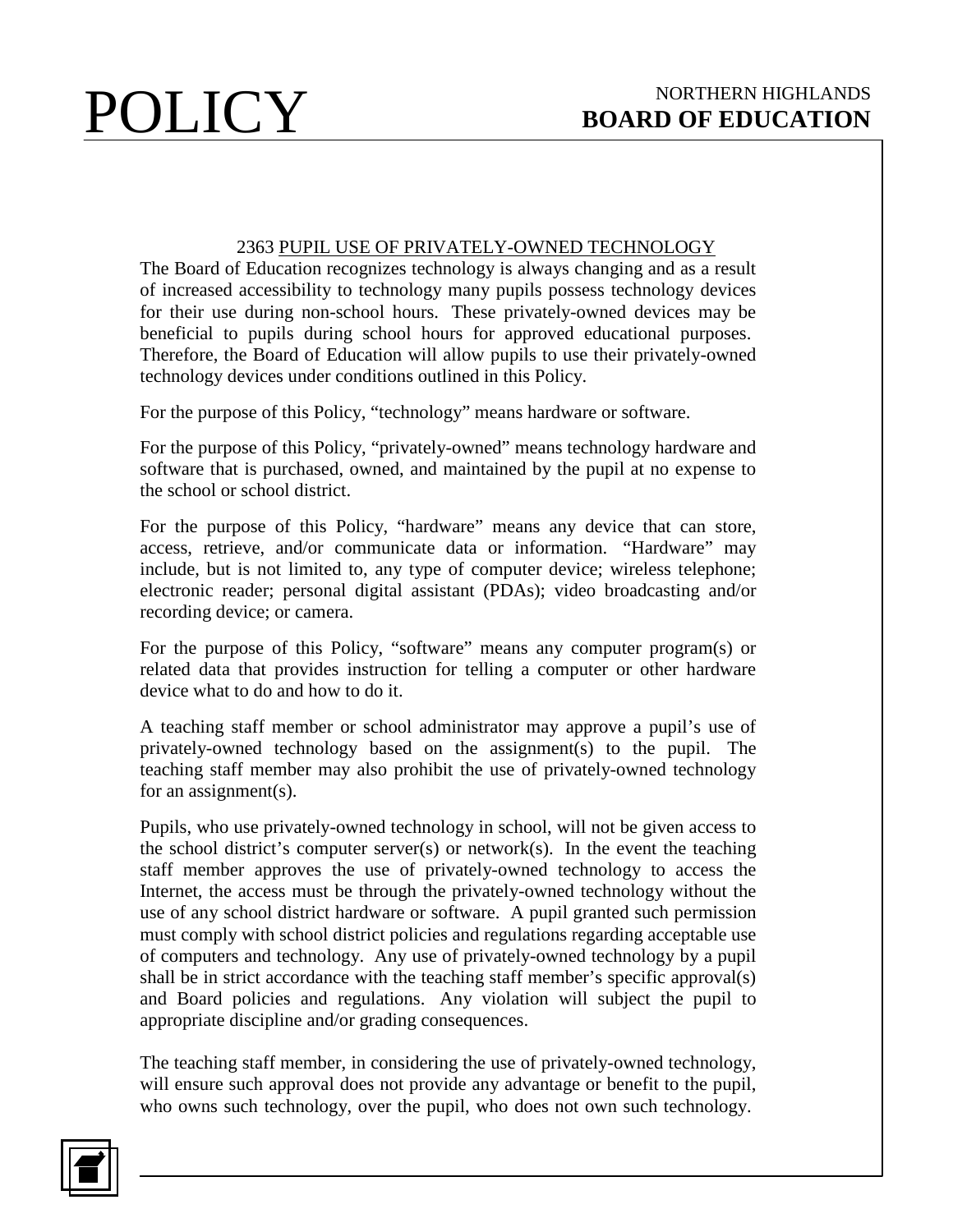## 2363 PUPIL USE OF PRIVATELY-OWNED TECHNOLOGY

The Board of Education recognizes technology is always changing and as a result of increased accessibility to technology many pupils possess technology devices for their use during non-school hours. These privately-owned devices may be beneficial to pupils during school hours for approved educational purposes. Therefore, the Board of Education will allow pupils to use their privately-owned technology devices under conditions outlined in this Policy.

For the purpose of this Policy, "technology" means hardware or software.

For the purpose of this Policy, "privately-owned" means technology hardware and software that is purchased, owned, and maintained by the pupil at no expense to the school or school district.

For the purpose of this Policy, "hardware" means any device that can store, access, retrieve, and/or communicate data or information. "Hardware" may include, but is not limited to, any type of computer device; wireless telephone; electronic reader; personal digital assistant (PDAs); video broadcasting and/or recording device; or camera.

For the purpose of this Policy, "software" means any computer program(s) or related data that provides instruction for telling a computer or other hardware device what to do and how to do it.

A teaching staff member or school administrator may approve a pupil's use of privately-owned technology based on the assignment(s) to the pupil. The teaching staff member may also prohibit the use of privately-owned technology for an assignment(s).

Pupils, who use privately-owned technology in school, will not be given access to the school district's computer server(s) or network(s). In the event the teaching staff member approves the use of privately-owned technology to access the Internet, the access must be through the privately-owned technology without the use of any school district hardware or software. A pupil granted such permission must comply with school district policies and regulations regarding acceptable use of computers and technology. Any use of privately-owned technology by a pupil shall be in strict accordance with the teaching staff member's specific approval(s) and Board policies and regulations. Any violation will subject the pupil to appropriate discipline and/or grading consequences.

The teaching staff member, in considering the use of privately-owned technology, will ensure such approval does not provide any advantage or benefit to the pupil, who owns such technology, over the pupil, who does not own such technology.